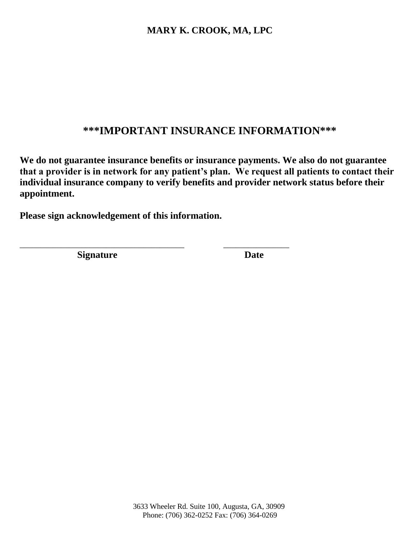# **\*\*\*IMPORTANT INSURANCE INFORMATION\*\*\***

**We do not guarantee insurance benefits or insurance payments. We also do not guarantee that a provider is in network for any patient's plan. We request all patients to contact their individual insurance company to verify benefits and provider network status before their appointment.** 

**Please sign acknowledgement of this information.**

\_\_\_\_\_\_\_\_\_\_\_\_\_\_\_\_\_\_\_\_\_\_\_\_\_\_\_\_\_\_\_\_\_\_\_\_\_\_\_\_ \_\_\_\_\_\_\_\_\_\_\_\_\_\_\_\_

**Signature** Date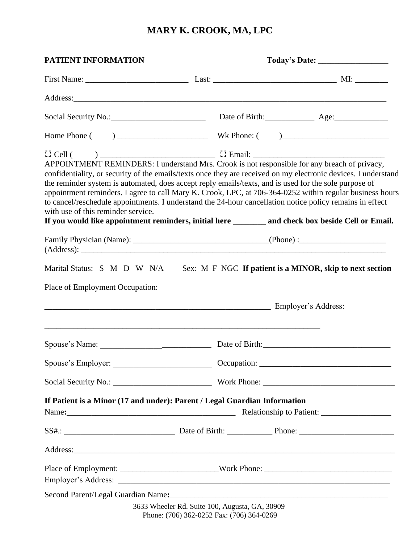|                                                                           | Social Security No.: Date of Birth: Age: Age: Age:                                                                                                                                                                                                                                                                                                                                                                                                                                                                                                   |
|---------------------------------------------------------------------------|------------------------------------------------------------------------------------------------------------------------------------------------------------------------------------------------------------------------------------------------------------------------------------------------------------------------------------------------------------------------------------------------------------------------------------------------------------------------------------------------------------------------------------------------------|
|                                                                           |                                                                                                                                                                                                                                                                                                                                                                                                                                                                                                                                                      |
| with use of this reminder service.                                        | confidentiality, or security of the emails/texts once they are received on my electronic devices. I understand<br>the reminder system is automated, does accept reply emails/texts, and is used for the sole purpose of<br>appointment reminders. I agree to call Mary K. Crook, LPC, at 706-364-0252 within regular business hours<br>to cancel/reschedule appointments. I understand the 24-hour cancellation notice policy remains in effect<br>If you would like appointment reminders, initial here _______ and check box beside Cell or Email. |
|                                                                           |                                                                                                                                                                                                                                                                                                                                                                                                                                                                                                                                                      |
| Employer's Address:                                                       |                                                                                                                                                                                                                                                                                                                                                                                                                                                                                                                                                      |
|                                                                           |                                                                                                                                                                                                                                                                                                                                                                                                                                                                                                                                                      |
|                                                                           |                                                                                                                                                                                                                                                                                                                                                                                                                                                                                                                                                      |
|                                                                           |                                                                                                                                                                                                                                                                                                                                                                                                                                                                                                                                                      |
|                                                                           |                                                                                                                                                                                                                                                                                                                                                                                                                                                                                                                                                      |
|                                                                           |                                                                                                                                                                                                                                                                                                                                                                                                                                                                                                                                                      |
| If Patient is a Minor (17 and under): Parent / Legal Guardian Information | Name: Mame: Manual Manual Manual Manual Manual Relationship to Patient: 2008.                                                                                                                                                                                                                                                                                                                                                                                                                                                                        |
|                                                                           |                                                                                                                                                                                                                                                                                                                                                                                                                                                                                                                                                      |
|                                                                           |                                                                                                                                                                                                                                                                                                                                                                                                                                                                                                                                                      |
|                                                                           |                                                                                                                                                                                                                                                                                                                                                                                                                                                                                                                                                      |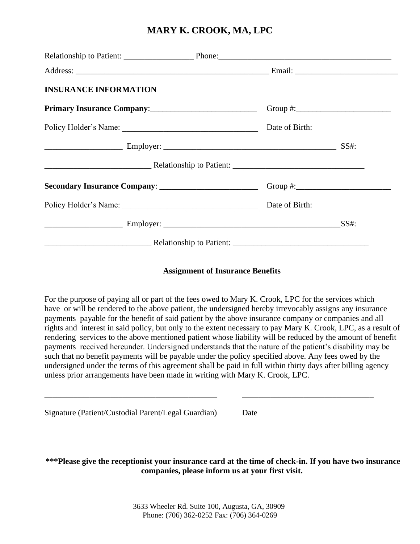| <b>INSURANCE INFORMATION</b>                                                                                   |                |  |
|----------------------------------------------------------------------------------------------------------------|----------------|--|
|                                                                                                                |                |  |
|                                                                                                                | Date of Birth: |  |
|                                                                                                                |                |  |
|                                                                                                                |                |  |
|                                                                                                                |                |  |
|                                                                                                                | Date of Birth: |  |
|                                                                                                                |                |  |
| 2010. Relationship to Patient: 2010. And 2010. All also related to Patient: 2010. All also related to Patient. |                |  |

#### **Assignment of Insurance Benefits**

For the purpose of paying all or part of the fees owed to Mary K. Crook, LPC for the services which have or will be rendered to the above patient, the undersigned hereby irrevocably assigns any insurance payments payable for the benefit of said patient by the above insurance company or companies and all rights and interest in said policy, but only to the extent necessary to pay Mary K. Crook, LPC, as a result of rendering services to the above mentioned patient whose liability will be reduced by the amount of benefit payments received hereunder. Undersigned understands that the nature of the patient's disability may be such that no benefit payments will be payable under the policy specified above. Any fees owed by the undersigned under the terms of this agreement shall be paid in full within thirty days after billing agency unless prior arrangements have been made in writing with Mary K. Crook, LPC.

| Signature (Patient/Custodial Parent/Legal Guardian) |  | Date |
|-----------------------------------------------------|--|------|
|                                                     |  |      |

**\*\*\*Please give the receptionist your insurance card at the time of check-in. If you have two insurance companies, please inform us at your first visit.**

\_\_\_\_\_\_\_\_\_\_\_\_\_\_\_\_\_\_\_\_\_\_\_\_\_\_\_\_\_\_\_\_\_\_\_\_\_\_\_\_\_\_ \_\_\_\_\_\_\_\_\_\_\_\_\_\_\_\_\_\_\_\_\_\_\_\_\_\_\_\_\_\_\_\_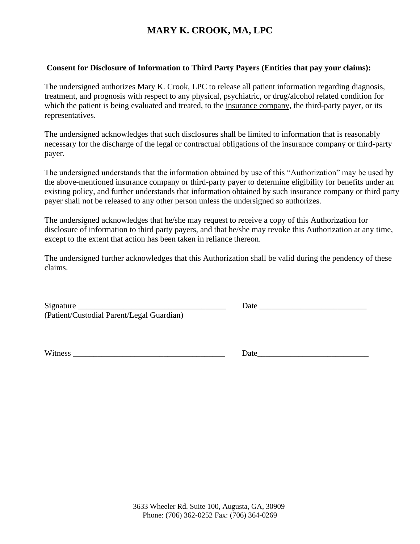#### **Consent for Disclosure of Information to Third Party Payers (Entities that pay your claims):**

The undersigned authorizes Mary K. Crook, LPC to release all patient information regarding diagnosis, treatment, and prognosis with respect to any physical, psychiatric, or drug/alcohol related condition for which the patient is being evaluated and treated, to the insurance company, the third-party payer, or its representatives.

The undersigned acknowledges that such disclosures shall be limited to information that is reasonably necessary for the discharge of the legal or contractual obligations of the insurance company or third-party payer.

The undersigned understands that the information obtained by use of this "Authorization" may be used by the above-mentioned insurance company or third-party payer to determine eligibility for benefits under an existing policy, and further understands that information obtained by such insurance company or third party payer shall not be released to any other person unless the undersigned so authorizes.

The undersigned acknowledges that he/she may request to receive a copy of this Authorization for disclosure of information to third party payers, and that he/she may revoke this Authorization at any time, except to the extent that action has been taken in reliance thereon.

The undersigned further acknowledges that this Authorization shall be valid during the pendency of these claims.

| Signature                                 |  |
|-------------------------------------------|--|
| (Patient/Custodial Parent/Legal Guardian) |  |

 $Date$ 

Witness **Example 1 Date**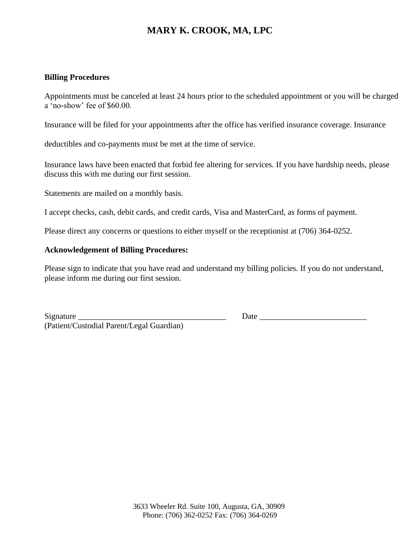#### **Billing Procedures**

Appointments must be canceled at least 24 hours prior to the scheduled appointment or you will be charged a 'no-show' fee of \$60.00.

Insurance will be filed for your appointments after the office has verified insurance coverage. Insurance

deductibles and co-payments must be met at the time of service.

Insurance laws have been enacted that forbid fee altering for services. If you have hardship needs, please discuss this with me during our first session.

Statements are mailed on a monthly basis.

I accept checks, cash, debit cards, and credit cards, Visa and MasterCard, as forms of payment.

Please direct any concerns or questions to either myself or the receptionist at (706) 364-0252.

#### **Acknowledgement of Billing Procedures:**

Please sign to indicate that you have read and understand my billing policies. If you do not understand, please inform me during our first session.

Signature \_\_\_\_\_\_\_\_\_\_\_\_\_\_\_\_\_\_\_\_\_\_\_\_\_\_\_\_\_\_\_\_\_\_\_\_ Date \_\_\_\_\_\_\_\_\_\_\_\_\_\_\_\_\_\_\_\_\_\_\_\_\_\_ (Patient/Custodial Parent/Legal Guardian)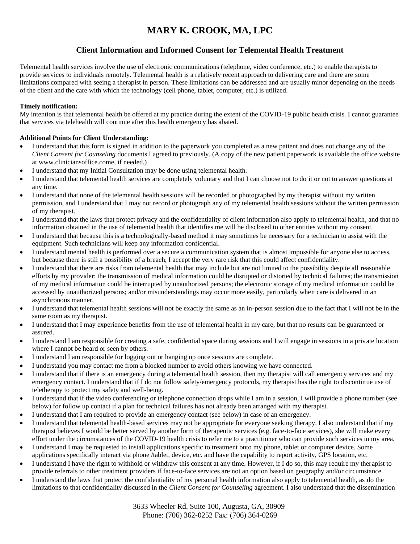### **Client Information and Informed Consent for Telemental Health Treatment**

Telemental health services involve the use of electronic communications (telephone, video conference, etc.) to enable therapists to provide services to individuals remotely. Telemental health is a relatively recent approach to delivering care and there are some limitations compared with seeing a therapist in person. These limitations can be addressed and are usually minor depending on the needs of the client and the care with which the technology (cell phone, tablet, computer, etc.) is utilized.

#### **Timely notification:**

My intention is that telemental health be offered at my practice during the extent of the COVID-19 public health crisis. I cannot guarantee that services via telehealth will continue after this health emergency has abated.

#### **Additional Points for Client Understanding:**

- I understand that this form is signed in addition to the paperwork you completed as a new patient and does not change any of the *Client Consent for Counseling* documents I agreed to previously. (A copy of the new patient paperwork is available the office website at www.cliniciansoffice.come, if needed.)
- I understand that my Initial Consultation may be done using telemental health.
- I understand that telemental health services are completely voluntary and that I can choose not to do it or not to answer questions at any time.
- I understand that none of the telemental health sessions will be recorded or photographed by my therapist without my written permission, and I understand that I may not record or photograph any of my telemental health sessions without the written permission of my therapist.
- I understand that the laws that protect privacy and the confidentiality of client information also apply to telemental health, and that no information obtained in the use of telemental health that identifies me will be disclosed to other entities without my consent.
- I understand that because this is a technologically-based method it may sometimes be necessary for a technician to assist with the equipment. Such technicians will keep any information confidential.
- I understand mental health is performed over a secure a communication system that is almost impossible for anyone else to access, but because there is still a possibility of a breach, I accept the very rare risk that this could affect confidentiality.
- I understand that there are risks from telemental health that may include but are not limited to the possibility despite all reasonable efforts by my provider: the transmission of medical information could be disrupted or distorted by technical failures; the transmission of my medical information could be interrupted by unauthorized persons; the electronic storage of my medical information could be accessed by unauthorized persons; and/or misunderstandings may occur more easily, particularly when care is delivered in an asynchronous manner.
- I understand that telemental health sessions will not be exactly the same as an in-person session due to the fact that I will not be in the same room as my therapist.
- I understand that I may experience benefits from the use of telemental health in my care, but that no results can be guaranteed or assured.
- I understand I am responsible for creating a safe, confidential space during sessions and I will engage in sessions in a private location where I cannot be heard or seen by others.
- I understand I am responsible for logging out or hanging up once sessions are complete.
- I understand you may contact me from a blocked number to avoid others knowing we have connected.
- I understand that if there is an emergency during a telemental health session, then my therapist will call emergency services and my emergency contact. I understand that if I do not follow safety/emergency protocols, my therapist has the right to discontinue use of teletherapy to protect my safety and well-being.
- I understand that if the video conferencing or telephone connection drops while I am in a session, I will provide a phone number (see below) for follow up contact if a plan for technical failures has not already been arranged with my therapist.
- I understand that I am required to provide an emergency contact (see below) in case of an emergency.
- I understand that telemental health-based services may not be appropriate for everyone seeking therapy. I also understand that if my therapist believes I would be better served by another form of therapeutic services (e.g. face-to-face services), she will make every effort under the circumstances of the COVID-19 health crisis to refer me to a practitioner who can provide such services in my area.
- I understand I may be requested to install applications specific to treatment onto my phone, tablet or computer device. Some applications specifically interact via phone /tablet, device, etc. and have the capability to report activity, GPS location, etc.
- I understand I have the right to withhold or withdraw this consent at any time. However, if I do so, this may require my therapist to provide referrals to other treatment providers if face-to-face services are not an option based on geography and/or circumstance.
- I understand the laws that protect the confidentiality of my personal health information also apply to telemental health, as do the limitations to that confidentiality discussed in the *Client Consent for Counseling* agreement. I also understand that the dissemination

 3633 Wheeler Rd. Suite 100, Augusta, GA, 30909 Phone: (706) 362-0252 Fax: (706) 364-0269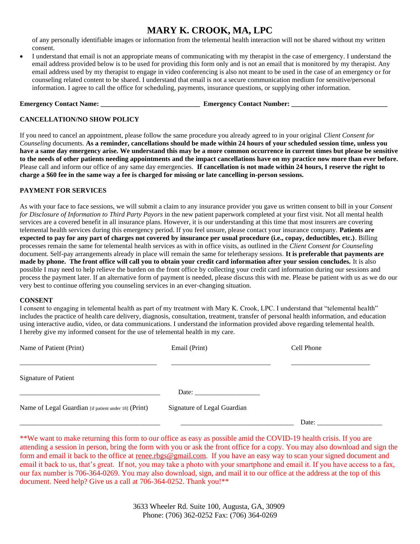of any personally identifiable images or information from the telemental health interaction will not be shared without my written consent.

• I understand that email is not an appropriate means of communicating with my therapist in the case of emergency. I understand the email address provided below is to be used for providing this form only and is not an email that is monitored by my therapist. Any email address used by my therapist to engage in video conferencing is also not meant to be used in the case of an emergency or for counseling related content to be shared. I understand that email is not a secure communication medium for sensitive/personal information. I agree to call the office for scheduling, payments, insurance questions, or supplying other information.

**Emergency Contact Name: \_\_\_\_\_\_\_\_\_\_\_\_\_\_\_\_\_\_\_\_\_\_\_\_\_\_\_\_\_ Emergency Contact Number: \_\_\_\_\_\_\_\_\_\_\_\_\_\_\_\_\_\_\_\_\_\_\_\_\_\_\_\_**

#### **CANCELLATION/NO SHOW POLICY**

If you need to cancel an appointment, please follow the same procedure you already agreed to in your original *Client Consent for Counseling* documents. **As a reminder, cancellations should be made within 24 hours of your scheduled session time, unless you have a same day emergency arise. We understand this may be a more common occurrence in current times but please be sensitive to the needs of other patients needing appointments and the impact cancellations have on my practice now more than ever before.**  Please call and inform our office of any same day emergencies. **If cancellation is not made within 24 hours, I reserve the right to charge a \$60 fee in the same way a fee is charged for missing or late cancelling in-person sessions.** 

#### **PAYMENT FOR SERVICES**

As with your face to face sessions, we will submit a claim to any insurance provider you gave us written consent to bill in your *Consent for Disclosure of Information to Third Party Payors* in the new patient paperwork completed at your first visit. Not all mental health services are a covered benefit in all insurance plans. However, it is our understanding at this time that most insurers are covering telemental health services during this emergency period. If you feel unsure, please contact your insurance company. **Patients are expected to pay for any part of charges not covered by insurance per usual procedure (i.e., copay, deductibles, etc.)**. Billing processes remain the same for telemental health services as with in office visits, as outlined in the *Client Consent for Counseling* document. Self-pay arrangements already in place will remain the same for teletherapy sessions. **It is preferable that payments are made by phone. The front office will call you to obtain your credit card information after your session concludes.** It is also possible I may need to help relieve the burden on the front office by collecting your credit card information during our sessions and process the payment later. If an alternative form of payment is needed, please discuss this with me. Please be patient with us as we do our very best to continue offering you counseling services in an ever-changing situation.

#### **CONSENT**

I consent to engaging in telemental health as part of my treatment with Mary K. Crook, LPC. I understand that "telemental health" includes the practice of health care delivery, diagnosis, consultation, treatment, transfer of personal health information, and education using interactive audio, video, or data communications. I understand the information provided above regarding telemental health. I hereby give my informed consent for the use of telemental health in my care.

| Name of Patient (Print)                              | Email (Print)               | Cell Phone |  |
|------------------------------------------------------|-----------------------------|------------|--|
| <b>Signature of Patient</b>                          |                             |            |  |
|                                                      | Date:                       |            |  |
| Name of Legal Guardian [if patient under 18] (Print) | Signature of Legal Guardian |            |  |
|                                                      |                             | Date:      |  |

\*\*We want to make returning this form to our office as easy as possible amid the COVID-19 health crisis. If you are attending a session in person, bring the form with you or ask the front office for a copy. You may also download and sign the form and email it back to the office at [renee.rbgs@gmail.com.](about:blank) If you have an easy way to scan your signed document and email it back to us, that's great. If not, you may take a photo with your smartphone and email it. If you have access to a fax, our fax number is 706-364-0269. You may also download, sign, and mail it to our office at the address at the top of this document. Need help? Give us a call at 706-364-0252. Thank you!\*\*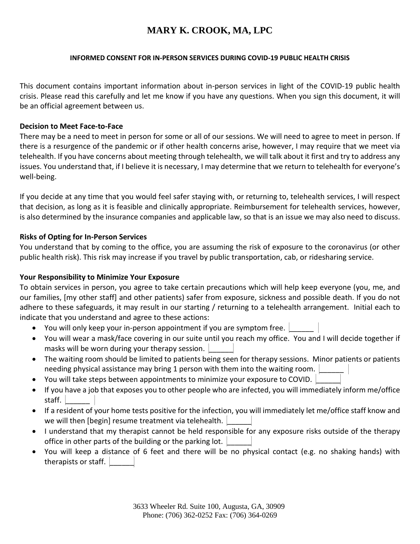#### **INFORMED CONSENT FOR IN-PERSON SERVICES DURING COVID-19 PUBLIC HEALTH CRISIS**

This document contains important information about in-person services in light of the COVID-19 public health crisis. Please read this carefully and let me know if you have any questions. When you sign this document, it will be an official agreement between us.

#### **Decision to Meet Face-to-Face**

There may be a need to meet in person for some or all of our sessions. We will need to agree to meet in person. If there is a resurgence of the pandemic or if other health concerns arise, however, I may require that we meet via telehealth. If you have concerns about meeting through telehealth, we will talk about it first and try to address any issues. You understand that, if I believe it is necessary, I may determine that we return to telehealth for everyone's well-being.

If you decide at any time that you would feel safer staying with, or returning to, telehealth services, I will respect that decision, as long as it is feasible and clinically appropriate. Reimbursement for telehealth services, however, is also determined by the insurance companies and applicable law, so that is an issue we may also need to discuss.

#### **Risks of Opting for In-Person Services**

You understand that by coming to the office, you are assuming the risk of exposure to the coronavirus (or other public health risk). This risk may increase if you travel by public transportation, cab, or ridesharing service.

#### **Your Responsibility to Minimize Your Exposure**

To obtain services in person, you agree to take certain precautions which will help keep everyone (you, me, and our families, [my other staff] and other patients) safer from exposure, sickness and possible death. If you do not adhere to these safeguards, it may result in our starting / returning to a telehealth arrangement. Initial each to indicate that you understand and agree to these actions:

- You will only keep your in-person appointment if you are symptom free.
- You will wear a mask/face covering in our suite until you reach my office. You and I will decide together if masks will be worn during your therapy session.
- The waiting room should be limited to patients being seen for therapy sessions. Minor patients or patients needing physical assistance may bring 1 person with them into the waiting room.
- You will take steps between appointments to minimize your exposure to COVID.
- If you have a job that exposes you to other people who are infected, you will immediately inform me/office staff.
- If a resident of your home tests positive for the infection, you will immediately let me/office staff know and we will then [begin] resume treatment via telehealth.
- I understand that my therapist cannot be held responsible for any exposure risks outside of the therapy office in other parts of the building or the parking lot.
- You will keep a distance of 6 feet and there will be no physical contact (e.g. no shaking hands) with therapists or staff.  $\vert$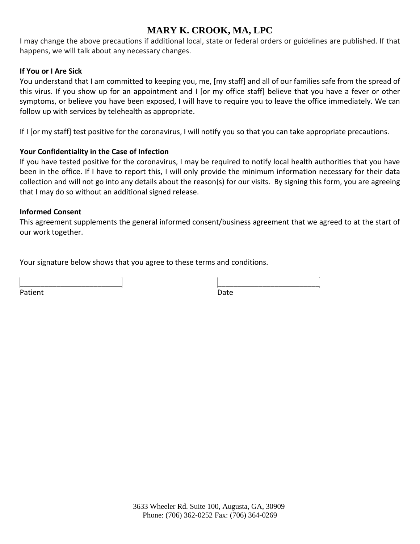I may change the above precautions if additional local, state or federal orders or guidelines are published. If that happens, we will talk about any necessary changes.

#### **If You or I Are Sick**

You understand that I am committed to keeping you, me, [my staff] and all of our families safe from the spread of this virus. If you show up for an appointment and I [or my office staff] believe that you have a fever or other symptoms, or believe you have been exposed, I will have to require you to leave the office immediately. We can follow up with services by telehealth as appropriate.

If I [or my staff] test positive for the coronavirus, I will notify you so that you can take appropriate precautions.

#### **Your Confidentiality in the Case of Infection**

If you have tested positive for the coronavirus, I may be required to notify local health authorities that you have been in the office. If I have to report this, I will only provide the minimum information necessary for their data collection and will not go into any details about the reason(s) for our visits. By signing this form, you are agreeing that I may do so without an additional signed release.

#### **Informed Consent**

This agreement supplements the general informed consent/business agreement that we agreed to at the start of our work together.

Your signature below shows that you agree to these terms and conditions.

\_\_\_\_\_\_\_\_\_\_\_\_\_\_\_\_\_\_\_\_\_\_\_\_\_ \_\_\_\_\_\_\_\_\_\_\_\_\_\_\_\_\_\_\_\_\_\_\_\_\_ Patient Date **Date**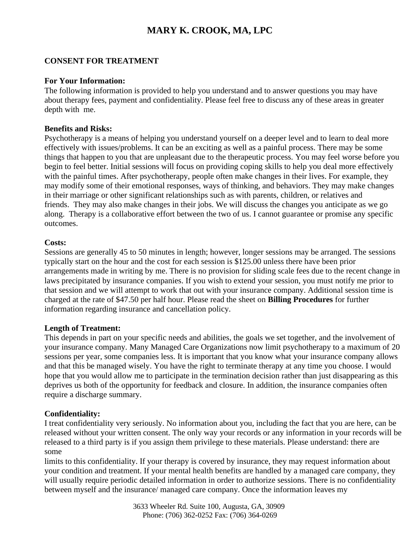#### **CONSENT FOR TREATMENT**

#### **For Your Information:**

The following information is provided to help you understand and to answer questions you may have about therapy fees, payment and confidentiality. Please feel free to discuss any of these areas in greater depth with me.

#### **Benefits and Risks:**

Psychotherapy is a means of helping you understand yourself on a deeper level and to learn to deal more effectively with issues/problems. It can be an exciting as well as a painful process. There may be some things that happen to you that are unpleasant due to the therapeutic process. You may feel worse before you begin to feel better. Initial sessions will focus on providing coping skills to help you deal more effectively with the painful times. After psychotherapy, people often make changes in their lives. For example, they may modify some of their emotional responses, ways of thinking, and behaviors. They may make changes in their marriage or other significant relationships such as with parents, children, or relatives and friends. They may also make changes in their jobs. We will discuss the changes you anticipate as we go along. Therapy is a collaborative effort between the two of us. I cannot guarantee or promise any specific outcomes.

#### **Costs:**

Sessions are generally 45 to 50 minutes in length; however, longer sessions may be arranged. The sessions typically start on the hour and the cost for each session is \$125.00 unless there have been prior arrangements made in writing by me. There is no provision for sliding scale fees due to the recent change in laws precipitated by insurance companies. If you wish to extend your session, you must notify me prior to that session and we will attempt to work that out with your insurance company. Additional session time is charged at the rate of \$47.50 per half hour. Please read the sheet on **Billing Procedures** for further information regarding insurance and cancellation policy.

#### **Length of Treatment:**

This depends in part on your specific needs and abilities, the goals we set together, and the involvement of your insurance company. Many Managed Care Organizations now limit psychotherapy to a maximum of 20 sessions per year, some companies less. It is important that you know what your insurance company allows and that this be managed wisely. You have the right to terminate therapy at any time you choose. I would hope that you would allow me to participate in the termination decision rather than just disappearing as this deprives us both of the opportunity for feedback and closure. In addition, the insurance companies often require a discharge summary.

#### **Confidentiality:**

I treat confidentiality very seriously. No information about you, including the fact that you are here, can be released without your written consent. The only way your records or any information in your records will be released to a third party is if you assign them privilege to these materials. Please understand: there are some

limits to this confidentiality. If your therapy is covered by insurance, they may request information about your condition and treatment. If your mental health benefits are handled by a managed care company, they will usually require periodic detailed information in order to authorize sessions. There is no confidentiality between myself and the insurance/ managed care company. Once the information leaves my

> 3633 Wheeler Rd. Suite 100, Augusta, GA, 30909 Phone: (706) 362-0252 Fax: (706) 364-0269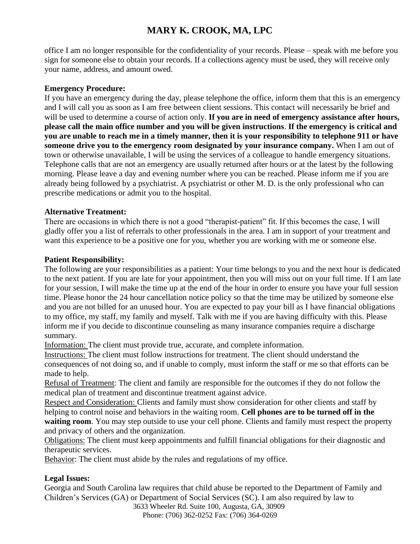office I am no longer responsible for the confidentiality of your records. Please – speak with me before you sign for someone else to obtain your records. If a collections agency must be used, they will receive only your name, address, and amount owed.

### **Emergency Procedure:**

If you have an emergency during the day, please telephone the office, inform them that this is an emergency and I will call you as soon as I am free between client sessions. This contact will necessarily be brief and will be used to determine a course of action only. **If you are in need of emergency assistance after hours, please call the main office number and you will be given instructions**. **If the emergency is critical and you are unable to reach me in a timely manner, then it is your responsibility to telephone 911 or have someone drive you to the emergency room designated by your insurance company.** When I am out of town or otherwise unavailable, I will be using the services of a colleague to handle emergency situations. Telephone calls that are not an emergency are usually returned after hours or at the latest by the following morning. Please leave a day and evening number where you can be reached. Please inform me if you are already being followed by a psychiatrist. A psychiatrist or other M. D. is the only professional who can prescribe medications or admit you to the hospital.

### **Alternative Treatment:**

There are occasions in which there is not a good "therapist-patient" fit. If this becomes the case, I will gladly offer you a list of referrals to other professionals in the area. I am in support of your treatment and want this experience to be a positive one for you, whether you are working with me or someone else.

### **Patient Responsibility:**

The following are your responsibilities as a patient: Your time belongs to you and the next hour is dedicated to the next patient. If you are late for your appointment, then you will miss out on your full time. If I am late for your session, I will make the time up at the end of the hour in order to ensure you have your full session time. Please honor the 24 hour cancellation notice policy so that the time may be utilized by someone else and you are not billed for an unused hour. You are expected to pay your bill as I have financial obligations to my office, my staff, my family and myself. Talk with me if you are having difficulty with this. Please inform me if you decide to discontinue counseling as many insurance companies require a discharge summary.

Information: The client must provide true, accurate, and complete information.

Instructions: The client must follow instructions for treatment. The client should understand the consequences of not doing so, and if unable to comply, must inform the staff or me so that efforts can be made to help.

Refusal of Treatment: The client and family are responsible for the outcomes if they do not follow the medical plan of treatment and discontinue treatment against advice.

Respect and Consideration: Clients and family must show consideration for other clients and staff by helping to control noise and behaviors in the waiting room. **Cell phones are to be turned off in the waiting room**. You may step outside to use your cell phone. Clients and family must respect the property and privacy of others and the organization.

Obligations: The client must keep appointments and fulfill financial obligations for their diagnostic and therapeutic services.

Behavior: The client must abide by the rules and regulations of my office.

### **Legal Issues:**

 3633 Wheeler Rd. Suite 100, Augusta, GA, 30909 Georgia and South Carolina law requires that child abuse be reported to the Department of Family and Children's Services (GA) or Department of Social Services (SC). I am also required by law to

Phone: (706) 362-0252 Fax: (706) 364-0269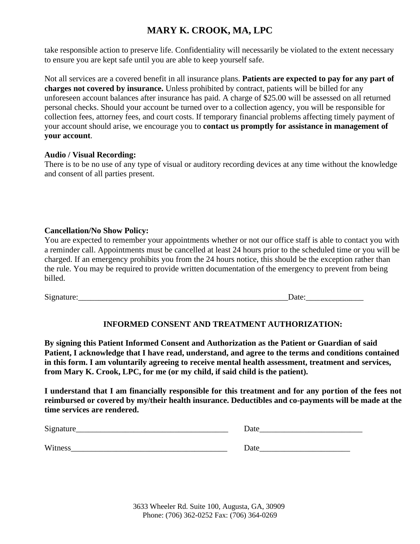take responsible action to preserve life. Confidentiality will necessarily be violated to the extent necessary to ensure you are kept safe until you are able to keep yourself safe.

Not all services are a covered benefit in all insurance plans. **Patients are expected to pay for any part of charges not covered by insurance.** Unless prohibited by contract, patients will be billed for any unforeseen account balances after insurance has paid. A charge of \$25.00 will be assessed on all returned personal checks. Should your account be turned over to a collection agency, you will be responsible for collection fees, attorney fees, and court costs. If temporary financial problems affecting timely payment of your account should arise, we encourage you to **contact us promptly for assistance in management of your account**.

#### **Audio / Visual Recording:**

There is to be no use of any type of visual or auditory recording devices at any time without the knowledge and consent of all parties present.

#### **Cancellation/No Show Policy:**

You are expected to remember your appointments whether or not our office staff is able to contact you with a reminder call. Appointments must be cancelled at least 24 hours prior to the scheduled time or you will be charged. If an emergency prohibits you from the 24 hours notice, this should be the exception rather than the rule. You may be required to provide written documentation of the emergency to prevent from being billed.

Signature:\_\_\_\_\_\_\_\_\_\_\_\_\_\_\_\_\_\_\_\_\_\_\_\_\_\_\_\_\_\_\_\_\_\_\_\_\_\_\_\_\_\_\_\_\_\_\_\_\_\_\_Date:\_\_\_\_\_\_\_\_\_\_\_\_\_\_

### **INFORMED CONSENT AND TREATMENT AUTHORIZATION:**

**By signing this Patient Informed Consent and Authorization as the Patient or Guardian of said Patient, I acknowledge that I have read, understand, and agree to the terms and conditions contained in this form. I am voluntarily agreeing to receive mental health assessment, treatment and services, from Mary K. Crook, LPC, for me (or my child, if said child is the patient).**

**I understand that I am financially responsible for this treatment and for any portion of the fees not reimbursed or covered by my/their health insurance. Deductibles and co-payments will be made at the time services are rendered.**

| Signature      | Date |
|----------------|------|
|                |      |
| <b>Witness</b> | Date |